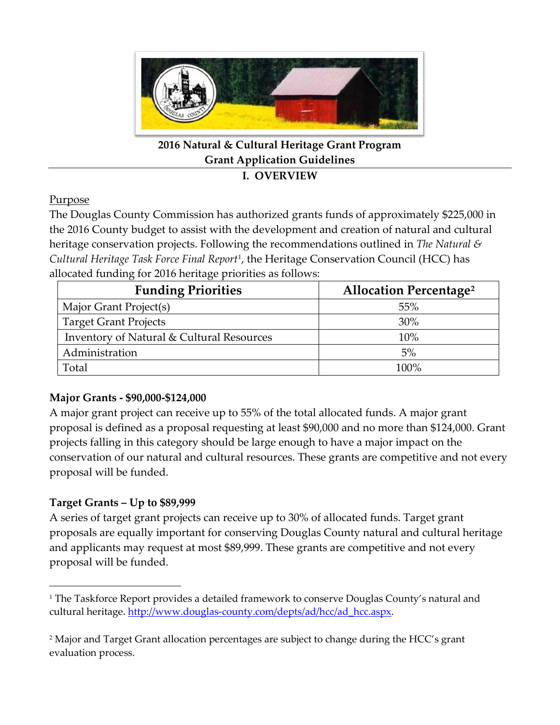

**2016 Natural & Cultural Heritage Grant Program Grant Application Guidelines**

#### **I. OVERVIEW**

#### **Purpose**

The Douglas County Commission has authorized grants funds of approximately \$225,000 in the 2016 County budget to assist with the development and creation of natural and cultural heritage conservation projects. Following the recommendations outlined in *The Natural & Cultural Heritage Task Force Final Report*[1](#page-0-0), the Heritage Conservation Council (HCC) has allocated funding for 2016 heritage priorities as follows:

| <b>Funding Priorities</b>                 | <b>Allocation Percentage<sup>2</sup></b> |
|-------------------------------------------|------------------------------------------|
| Major Grant Project(s)                    | 55%                                      |
| <b>Target Grant Projects</b>              | 30%                                      |
| Inventory of Natural & Cultural Resources | 10%                                      |
| Administration                            | 5%                                       |
| Total                                     | 100%                                     |

#### **Major Grants - \$90,000-\$124,000**

A major grant project can receive up to 55% of the total allocated funds. A major grant proposal is defined as a proposal requesting at least \$90,000 and no more than \$124,000. Grant projects falling in this category should be large enough to have a major impact on the conservation of our natural and cultural resources. These grants are competitive and not every proposal will be funded.

# **Target Grants – Up to \$89,999**

l

A series of target grant projects can receive up to 30% of allocated funds. Target grant proposals are equally important for conserving Douglas County natural and cultural heritage and applicants may request at most \$89,999. These grants are competitive and not every proposal will be funded.

<span id="page-0-0"></span><sup>&</sup>lt;sup>1</sup> The Taskforce Report provides a detailed framework to conserve Douglas County's natural and cultural heritage. [http://www.douglas-county.com/depts/ad/hcc/ad\\_hcc.aspx.](http://www.douglas-county.com/depts/ad/hcc/ad_hcc.aspx)

<span id="page-0-1"></span><sup>&</sup>lt;sup>2</sup> Major and Target Grant allocation percentages are subject to change during the HCC's grant evaluation process.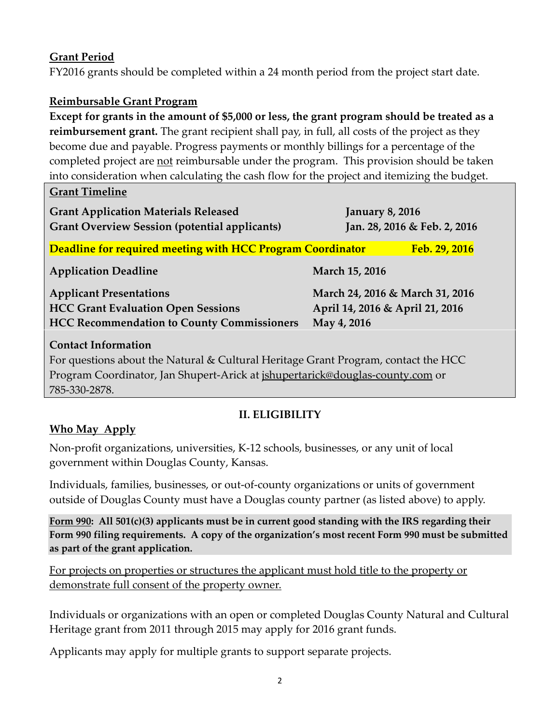# **Grant Period**

**Grant Timeline**

FY2016 grants should be completed within a 24 month period from the project start date.

### **Reimbursable Grant Program**

**Except for grants in the amount of \$5,000 or less, the grant program should be treated as a reimbursement grant.** The grant recipient shall pay, in full, all costs of the project as they become due and payable. Progress payments or monthly billings for a percentage of the completed project are not reimbursable under the program. This provision should be taken into consideration when calculating the cash flow for the project and itemizing the budget.

| Grant Thilemne                                                    |                                 |
|-------------------------------------------------------------------|---------------------------------|
| <b>Grant Application Materials Released</b>                       | <b>January 8, 2016</b>          |
| <b>Grant Overview Session (potential applicants)</b>              | Jan. 28, 2016 & Feb. 2, 2016    |
| <b>Deadline for required meeting with HCC Program Coordinator</b> | Feb. 29, 2016                   |
| <b>Application Deadline</b>                                       | March 15, 2016                  |
| <b>Applicant Presentations</b>                                    | March 24, 2016 & March 31, 2016 |
| <b>HCC Grant Evaluation Open Sessions</b>                         | April 14, 2016 & April 21, 2016 |
| <b>HCC Recommendation to County Commissioners</b>                 | May 4, 2016                     |
| <b>Contact Information</b>                                        |                                 |

For questions about the Natural & Cultural Heritage Grant Program, contact the HCC Program Coordinator, Jan Shupert-Arick at jshupertarick@douglas-county.com or 785-330-2878.

#### **II. ELIGIBILITY**

# **Who May Apply**

Non-profit organizations, universities, K-12 schools, businesses, or any unit of local government within Douglas County, Kansas.

Individuals, families, businesses, or out-of-county organizations or units of government outside of Douglas County must have a Douglas county partner (as listed above) to apply.

**Form 990: All 501(c)(3) applicants must be in current good standing with the IRS regarding their Form 990 filing requirements. A copy of the organization's most recent Form 990 must be submitted as part of the grant application.** 

For projects on properties or structures the applicant must hold title to the property or demonstrate full consent of the property owner.

Individuals or organizations with an open or completed Douglas County Natural and Cultural Heritage grant from 2011 through 2015 may apply for 2016 grant funds.

Applicants may apply for multiple grants to support separate projects.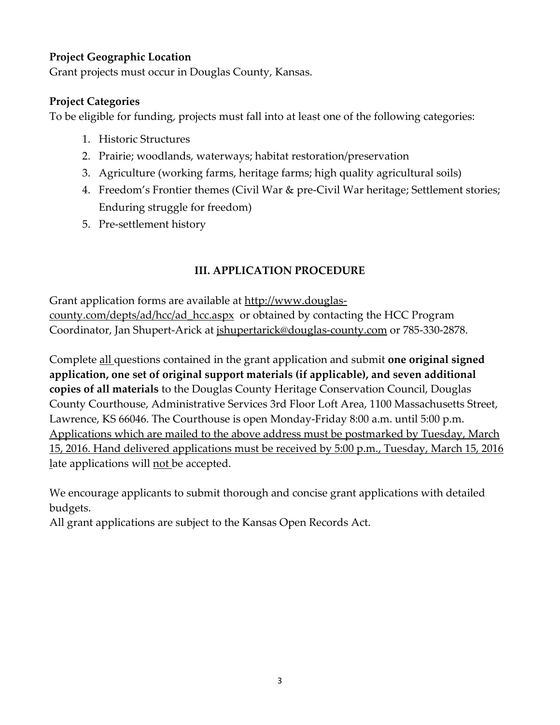#### **Project Geographic Location**

Grant projects must occur in Douglas County, Kansas.

#### **Project Categories**

To be eligible for funding, projects must fall into at least one of the following categories:

- 1. Historic Structures
- 2. Prairie; woodlands, waterways; habitat restoration/preservation
- 3. Agriculture (working farms, heritage farms; high quality agricultural soils)
- 4. Freedom's Frontier themes (Civil War & pre-Civil War heritage; Settlement stories; Enduring struggle for freedom)
- 5. Pre-settlement history

#### **III. APPLICATION PROCEDURE**

Grant application forms are available at [http://www.douglas](http://www.douglas-county.com/depts/ad/hcc/ad_hcc.aspx)[county.com/depts/ad/hcc/ad\\_hcc.aspx](http://www.douglas-county.com/depts/ad/hcc/ad_hcc.aspx) or obtained by contacting the HCC Program Coordinator, Jan Shupert-Arick at jshupertarick@douglas-county.com or 785-330-2878.

Complete all questions contained in the grant application and submit **one original signed application, one set of original support materials (if applicable), and seven additional copies of all materials** to the Douglas County Heritage Conservation Council, Douglas County Courthouse, Administrative Services 3rd Floor Loft Area, 1100 Massachusetts Street, Lawrence, KS 66046. The Courthouse is open Monday-Friday 8:00 a.m. until 5:00 p.m. Applications which are mailed to the above address must be postmarked by Tuesday, March 15, 2016. Hand delivered applications must be received by 5:00 p.m., Tuesday, March 15, 2016 late applications will not be accepted.

We encourage applicants to submit thorough and concise grant applications with detailed budgets.

All grant applications are subject to the Kansas Open Records Act.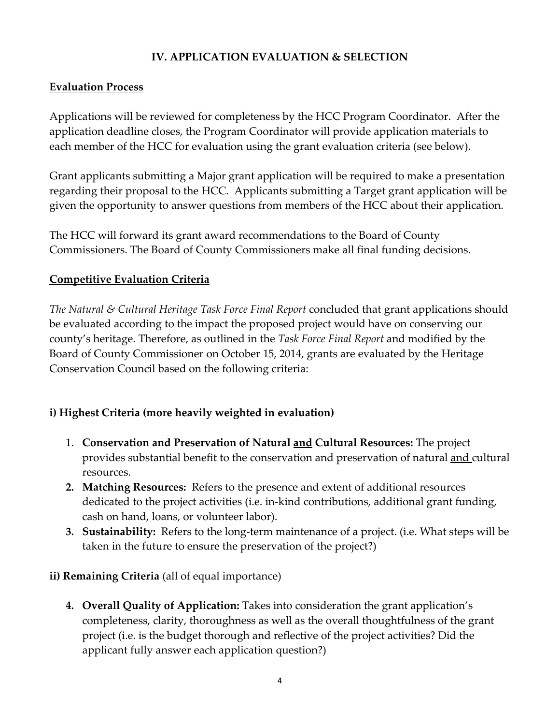#### **IV. APPLICATION EVALUATION & SELECTION**

#### **Evaluation Process**

Applications will be reviewed for completeness by the HCC Program Coordinator. After the application deadline closes, the Program Coordinator will provide application materials to each member of the HCC for evaluation using the grant evaluation criteria (see below).

Grant applicants submitting a Major grant application will be required to make a presentation regarding their proposal to the HCC. Applicants submitting a Target grant application will be given the opportunity to answer questions from members of the HCC about their application.

The HCC will forward its grant award recommendations to the Board of County Commissioners. The Board of County Commissioners make all final funding decisions.

#### **Competitive Evaluation Criteria**

*The Natural & Cultural Heritage Task Force Final Report* concluded that grant applications should be evaluated according to the impact the proposed project would have on conserving our county's heritage. Therefore, as outlined in the *Task Force Final Report* and modified by the Board of County Commissioner on October 15, 2014, grants are evaluated by the Heritage Conservation Council based on the following criteria:

# **i) Highest Criteria (more heavily weighted in evaluation)**

- 1. **Conservation and Preservation of Natural and Cultural Resources:** The project provides substantial benefit to the conservation and preservation of natural and cultural resources.
- **2. Matching Resources:** Refers to the presence and extent of additional resources dedicated to the project activities (i.e. in-kind contributions, additional grant funding, cash on hand, loans, or volunteer labor).
- **3. Sustainability:** Refers to the long-term maintenance of a project. (i.e. What steps will be taken in the future to ensure the preservation of the project?)

# **ii) Remaining Criteria** (all of equal importance)

**4. Overall Quality of Application:** Takes into consideration the grant application's completeness, clarity, thoroughness as well as the overall thoughtfulness of the grant project (i.e. is the budget thorough and reflective of the project activities? Did the applicant fully answer each application question?)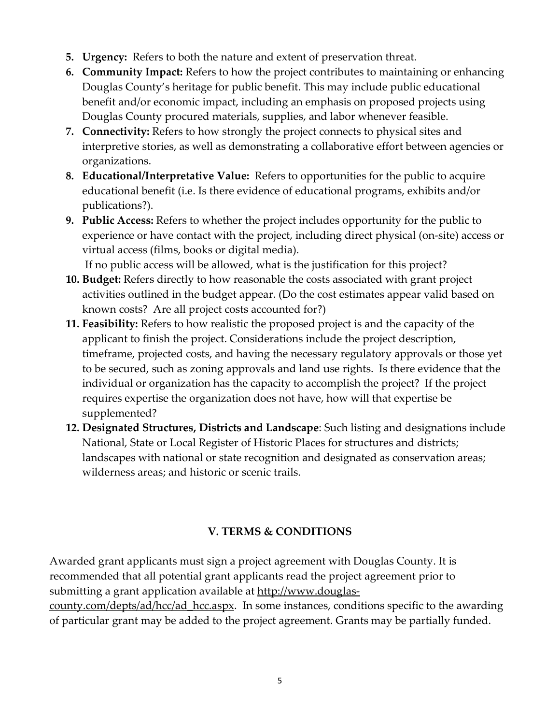- **5. Urgency:** Refers to both the nature and extent of preservation threat.
- **6. Community Impact:** Refers to how the project contributes to maintaining or enhancing Douglas County's heritage for public benefit. This may include public educational benefit and/or economic impact, including an emphasis on proposed projects using Douglas County procured materials, supplies, and labor whenever feasible.
- **7. Connectivity:** Refers to how strongly the project connects to physical sites and interpretive stories, as well as demonstrating a collaborative effort between agencies or organizations.
- **8. Educational/Interpretative Value:** Refers to opportunities for the public to acquire educational benefit (i.e. Is there evidence of educational programs, exhibits and/or publications?).
- **9. Public Access:** Refers to whether the project includes opportunity for the public to experience or have contact with the project, including direct physical (on-site) access or virtual access (films, books or digital media).
- If no public access will be allowed, what is the justification for this project? **10. Budget:** Refers directly to how reasonable the costs associated with grant project activities outlined in the budget appear. (Do the cost estimates appear valid based on known costs? Are all project costs accounted for?)
- **11. Feasibility:** Refers to how realistic the proposed project is and the capacity of the applicant to finish the project. Considerations include the project description, timeframe, projected costs, and having the necessary regulatory approvals or those yet to be secured, such as zoning approvals and land use rights. Is there evidence that the individual or organization has the capacity to accomplish the project? If the project requires expertise the organization does not have, how will that expertise be supplemented?
- **12. Designated Structures, Districts and Landscape**: Such listing and designations include National, State or Local Register of Historic Places for structures and districts; landscapes with national or state recognition and designated as conservation areas; wilderness areas; and historic or scenic trails.

# **V. TERMS & CONDITIONS**

Awarded grant applicants must sign a project agreement with Douglas County. It is recommended that all potential grant applicants read the project agreement prior to submitting a grant application available at [http://www.douglas-](http://www.douglas-county.com/depts/ad/hcc/ad_hcc.aspx)

[county.com/depts/ad/hcc/ad\\_hcc.aspx.](http://www.douglas-county.com/depts/ad/hcc/ad_hcc.aspx) In some instances, conditions specific to the awarding of particular grant may be added to the project agreement. Grants may be partially funded.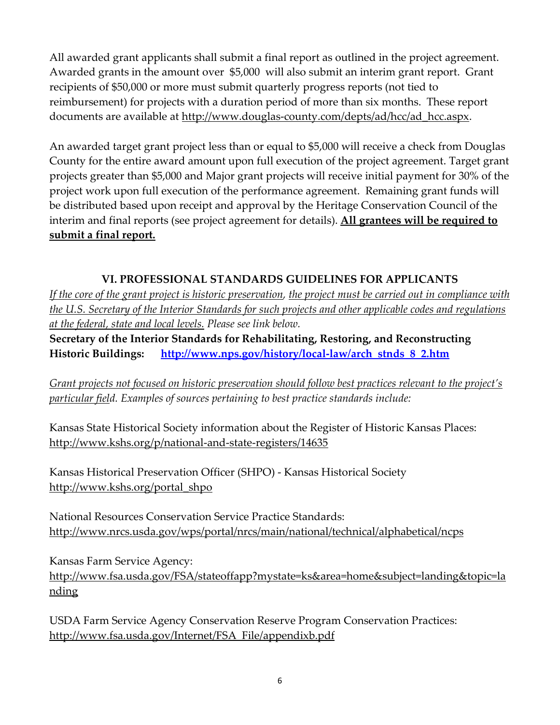All awarded grant applicants shall submit a final report as outlined in the project agreement. Awarded grants in the amount over \$5,000 will also submit an interim grant report. Grant recipients of \$50,000 or more must submit quarterly progress reports (not tied to reimbursement) for projects with a duration period of more than six months. These report documents are available at [http://www.douglas-county.com/depts/ad/hcc/ad\\_hcc.aspx.](http://www.douglas-county.com/depts/ad/hcc/ad_hcc.aspx)

An awarded target grant project less than or equal to \$5,000 will receive a check from Douglas County for the entire award amount upon full execution of the project agreement. Target grant projects greater than \$5,000 and Major grant projects will receive initial payment for 30% of the project work upon full execution of the performance agreement. Remaining grant funds will be distributed based upon receipt and approval by the Heritage Conservation Council of the interim and final reports (see project agreement for details). **All grantees will be required to submit a final report.**

#### **VI. PROFESSIONAL STANDARDS GUIDELINES FOR APPLICANTS**

*If the core of the grant project is historic preservation, the project must be carried out in compliance with the U.S. Secretary of the Interior Standards for such projects and other applicable codes and regulations at the federal, state and local levels. Please see link below.*

**Secretary of the Interior Standards for Rehabilitating, Restoring, and Reconstructing Historic Buildings: [http://www.nps.gov/history/local-law/arch\\_stnds\\_8\\_2.htm](http://www.nps.gov/history/local-law/arch_stnds_8_2.htm)**

*Grant projects not focused on historic preservation should follow best practices relevant to the project's particular field. Examples of sources pertaining to best practice standards include:*

Kansas State Historical Society information about the Register of Historic Kansas Places: <http://www.kshs.org/p/national-and-state-registers/14635>

Kansas Historical Preservation Officer (SHPO) - Kansas Historical Society [http://www.kshs.org/portal\\_shpo](http://www.kshs.org/portal_shpo)

National Resources Conservation Service Practice Standards: <http://www.nrcs.usda.gov/wps/portal/nrcs/main/national/technical/alphabetical/ncps>

Kansas Farm Service Agency: [http://www.fsa.usda.gov/FSA/stateoffapp?mystate=ks&area=home&subject=landing&topic=la](http://www.fsa.usda.gov/FSA/stateoffapp?mystate=ks&area=home&subject=landing&topic=landing) [nding](http://www.fsa.usda.gov/FSA/stateoffapp?mystate=ks&area=home&subject=landing&topic=landing)

USDA Farm Service Agency Conservation Reserve Program Conservation Practices: [http://www.fsa.usda.gov/Internet/FSA\\_File/appendixb.pdf](http://www.fsa.usda.gov/Internet/FSA_File/appendixb.pdf)